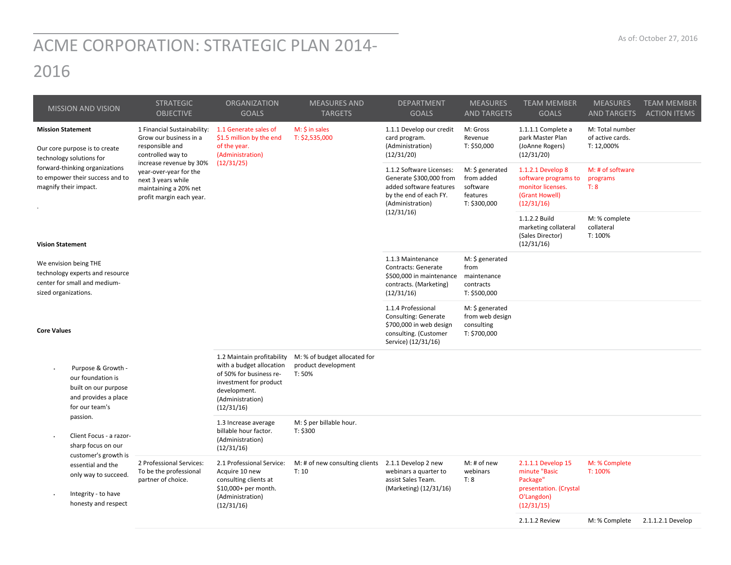## ACME CORPORATION: STRATEGIC PLAN 2014‐ 2016

| <b>MISSION AND VISION</b>                                                                                                         | <b>STRATEGIC</b><br><b>OBJECTIVE</b>                                                                                                                                                                                          | <b>ORGANIZATION</b><br><b>GOALS</b>                                                                                                                           | <b>MEASURES AND</b><br><b>TARGETS</b>                         | <b>DEPARTMENT</b><br><b>GOALS</b>                                                                                                          | <b>MEASURES</b><br><b>AND TARGETS</b>                                 | <b>TEAM MEMBER</b><br><b>GOALS</b>                                                                    | <b>MEASURES</b><br><b>AND TARGETS</b>             | <b>TEAM MEMBER</b><br><b>ACTION ITEMS</b> |
|-----------------------------------------------------------------------------------------------------------------------------------|-------------------------------------------------------------------------------------------------------------------------------------------------------------------------------------------------------------------------------|---------------------------------------------------------------------------------------------------------------------------------------------------------------|---------------------------------------------------------------|--------------------------------------------------------------------------------------------------------------------------------------------|-----------------------------------------------------------------------|-------------------------------------------------------------------------------------------------------|---------------------------------------------------|-------------------------------------------|
| <b>Mission Statement</b><br>Our core purpose is to create<br>technology solutions for                                             | 1 Financial Sustainability:<br>Grow our business in a<br>responsible and<br>controlled way to<br>increase revenue by 30%<br>year-over-year for the<br>next 3 years while<br>maintaining a 20% net<br>profit margin each year. | 1.1 Generate sales of<br>\$1.5 million by the end<br>of the year.<br>(Administration)<br>(12/31/25)                                                           | M: \$ in sales<br>T: \$2,535,000                              | 1.1.1 Develop our credit<br>card program.<br>(Administration)<br>(12/31/20)                                                                | M: Gross<br>Revenue<br>T: \$50,000                                    | 1.1.1.1 Complete a<br>park Master Plan<br>(JoAnne Rogers)<br>(12/31/20)                               | M: Total number<br>of active cards.<br>T: 12,000% |                                           |
| forward-thinking organizations<br>to empower their success and to<br>magnify their impact.                                        |                                                                                                                                                                                                                               |                                                                                                                                                               |                                                               | 1.1.2 Software Licenses:<br>Generate \$300,000 from<br>added software features<br>by the end of each FY.<br>(Administration)<br>(12/31/16) | M: \$ generated<br>from added<br>software<br>features<br>T: \$300,000 | 1.1.2.1 Develop 8<br>software programs to<br>monitor licenses.<br>(Grant Howell)<br>(12/31/16)        | M: # of software<br>programs<br>T: 8              |                                           |
| <b>Vision Statement</b>                                                                                                           |                                                                                                                                                                                                                               |                                                                                                                                                               |                                                               |                                                                                                                                            |                                                                       | 1.1.2.2 Build<br>marketing collateral<br>(Sales Director)<br>(12/31/16)                               | M: % complete<br>collateral<br>T: 100%            |                                           |
| We envision being THE<br>technology experts and resource<br>center for small and medium-<br>sized organizations.                  |                                                                                                                                                                                                                               |                                                                                                                                                               |                                                               | 1.1.3 Maintenance<br><b>Contracts: Generate</b><br>\$500,000 in maintenance<br>contracts. (Marketing)<br>(12/31/16)                        | M: \$ generated<br>from<br>maintenance<br>contracts<br>T: \$500,000   |                                                                                                       |                                                   |                                           |
| <b>Core Values</b>                                                                                                                |                                                                                                                                                                                                                               |                                                                                                                                                               |                                                               | 1.1.4 Professional<br>Consulting: Generate<br>\$700,000 in web design<br>consulting. (Customer<br>Service) (12/31/16)                      | M: \$ generated<br>from web design<br>consulting<br>T: \$700,000      |                                                                                                       |                                                   |                                           |
| Purpose & Growth -<br>$\bullet$<br>our foundation is<br>built on our purpose<br>and provides a place<br>for our team's            |                                                                                                                                                                                                                               | 1.2 Maintain profitability<br>with a budget allocation<br>of 50% for business re-<br>investment for product<br>development.<br>(Administration)<br>(12/31/16) | M: % of budget allocated for<br>product development<br>T: 50% |                                                                                                                                            |                                                                       |                                                                                                       |                                                   |                                           |
| passion.<br>Client Focus - a razor-<br>$\blacksquare$<br>sharp focus on our                                                       |                                                                                                                                                                                                                               | 1.3 Increase average<br>billable hour factor.<br>(Administration)<br>(12/31/16)                                                                               | M: \$ per billable hour.<br>T: \$300                          |                                                                                                                                            |                                                                       |                                                                                                       |                                                   |                                           |
| customer's growth is<br>essential and the<br>only way to succeed.<br>Integrity - to have<br>$\blacksquare$<br>honesty and respect | 2 Professional Services:<br>To be the professional<br>partner of choice.                                                                                                                                                      | 2.1 Professional Service:<br>Acquire 10 new<br>consulting clients at<br>\$10,000+ per month.<br>(Administration)<br>(12/31/16)                                | M: # of new consulting clients 2.1.1 Develop 2 new<br>T: 10   | webinars a quarter to<br>assist Sales Team.<br>(Marketing) (12/31/16)                                                                      | M: # of new<br>webinars<br>T: 8                                       | 2.1.1.1 Develop 15<br>minute "Basic<br>Package"<br>presentation. (Crystal<br>O'Langdon)<br>(12/31/15) | M: % Complete<br>T: 100%                          |                                           |
|                                                                                                                                   |                                                                                                                                                                                                                               |                                                                                                                                                               |                                                               |                                                                                                                                            |                                                                       | 2.1.1.2 Review                                                                                        | M: % Complete                                     | 2.1.1.2.1 Develop                         |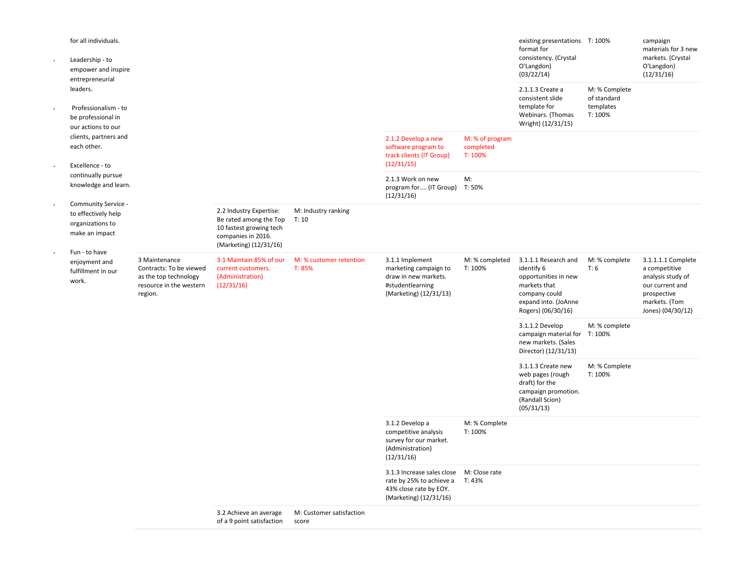| ×.                                           | for all individuals.<br>Leadership - to<br>empower and inspire<br>entrepreneurial                       |                                                                                 |                                                     |                                                                                                                              |                                                                                                                          |                                                                                                                                           | existing presentations T: 100%<br>format for<br>consistency. (Crystal<br>O'Langdon)<br>(03/22/14) |                                                                                                                                  | campaign<br>materials for 3 new<br>markets. (Crystal<br>O'Langdon)<br>(12/31/16) |  |
|----------------------------------------------|---------------------------------------------------------------------------------------------------------|---------------------------------------------------------------------------------|-----------------------------------------------------|------------------------------------------------------------------------------------------------------------------------------|--------------------------------------------------------------------------------------------------------------------------|-------------------------------------------------------------------------------------------------------------------------------------------|---------------------------------------------------------------------------------------------------|----------------------------------------------------------------------------------------------------------------------------------|----------------------------------------------------------------------------------|--|
|                                              | leaders.<br>Professionalism - to<br>be professional in<br>our actions to our                            |                                                                                 |                                                     |                                                                                                                              |                                                                                                                          |                                                                                                                                           | 2.1.1.3 Create a<br>consistent slide<br>template for<br>Webinars. (Thomas<br>Wright) (12/31/15)   | M: % Complete<br>of standard<br>templates<br>T: 100%                                                                             |                                                                                  |  |
|                                              | clients, partners and<br>each other.<br>Excellence - to                                                 |                                                                                 |                                                     |                                                                                                                              | 2.1.2 Develop a new<br>software program to<br>track clients (IT Group)<br>(12/31/15)                                     | M: % of program<br>completed<br>T: 100%                                                                                                   |                                                                                                   |                                                                                                                                  |                                                                                  |  |
|                                              | continually pursue<br>knowledge and learn.                                                              |                                                                                 |                                                     |                                                                                                                              | 2.1.3 Work on new<br>program for (IT Group) T: 50%<br>(12/31/16)                                                         | M:                                                                                                                                        |                                                                                                   |                                                                                                                                  |                                                                                  |  |
|                                              | Community Service -<br>to effectively help<br>organizations to<br>make an impact<br>Fun - to have       |                                                                                 |                                                     | 2.2 Industry Expertise:<br>Be rated among the Top<br>10 fastest growing tech<br>companies in 2016.<br>(Marketing) (12/31/16) | M: Industry ranking<br>T: 10                                                                                             |                                                                                                                                           |                                                                                                   |                                                                                                                                  |                                                                                  |  |
| enjoyment and<br>fulfillment in our<br>work. | 3 Maintenance<br>Contracts: To be viewed<br>as the top technology<br>resource in the western<br>region. | 3.1 Maintain 85% of our<br>current customers.<br>(Administration)<br>(12/31/16) | M: % customer retention<br>T: 85%                   | 3.1.1 Implement<br>marketing campaign to<br>draw in new markets.<br>#studentlearning<br>(Marketing) (12/31/13)               | M: % completed<br>T: 100%                                                                                                | 3.1.1.1 Research and<br>identify 6<br>opportunities in new<br>markets that<br>company could<br>expand into. (JoAnne<br>Rogers) (06/30/16) | M: % complete<br>T: 6                                                                             | 3.1.1.1.1 Complete<br>a competitive<br>analysis study of<br>our current and<br>prospective<br>markets. (Tom<br>Jones) (04/30/12) |                                                                                  |  |
|                                              |                                                                                                         |                                                                                 |                                                     |                                                                                                                              |                                                                                                                          | 3.1.1.2 Develop<br>campaign material for<br>new markets. (Sales<br>Director) (12/31/13)                                                   | M: % complete<br>T: 100%                                                                          |                                                                                                                                  |                                                                                  |  |
|                                              |                                                                                                         |                                                                                 |                                                     |                                                                                                                              |                                                                                                                          | 3.1.1.3 Create new<br>web pages (rough<br>draft) for the<br>campaign promotion.<br>(Randall Scion)<br>(05/31/13)                          | M: % Complete<br>T: 100%                                                                          |                                                                                                                                  |                                                                                  |  |
|                                              |                                                                                                         |                                                                                 |                                                     | 3.1.2 Develop a<br>competitive analysis<br>survey for our market.<br>(Administration)<br>(12/31/16)                          | M: % Complete<br>T: 100%                                                                                                 |                                                                                                                                           |                                                                                                   |                                                                                                                                  |                                                                                  |  |
|                                              |                                                                                                         |                                                                                 |                                                     |                                                                                                                              | 3.1.3 Increase sales close M: Close rate<br>rate by 25% to achieve a<br>43% close rate by EOY.<br>(Marketing) (12/31/16) | T: 43%                                                                                                                                    |                                                                                                   |                                                                                                                                  |                                                                                  |  |
|                                              |                                                                                                         |                                                                                 | 3.2 Achieve an average<br>of a 9 point satisfaction | M: Customer satisfaction<br>score                                                                                            |                                                                                                                          |                                                                                                                                           |                                                                                                   |                                                                                                                                  |                                                                                  |  |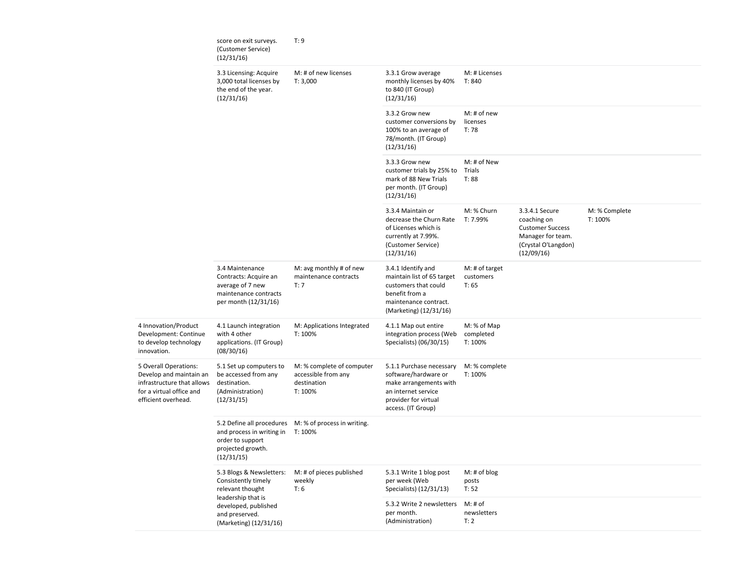|                                                                                                                                   | score on exit surveys.<br>(Customer Service)<br>(12/31/16)                                                                                                    | T: 9                                                                       |                                                                                                                                                 |                                      |                                                                                                                    |                          |
|-----------------------------------------------------------------------------------------------------------------------------------|---------------------------------------------------------------------------------------------------------------------------------------------------------------|----------------------------------------------------------------------------|-------------------------------------------------------------------------------------------------------------------------------------------------|--------------------------------------|--------------------------------------------------------------------------------------------------------------------|--------------------------|
|                                                                                                                                   | 3.3 Licensing: Acquire<br>3,000 total licenses by<br>the end of the year.<br>(12/31/16)                                                                       | M: # of new licenses<br>T: 3,000                                           | 3.3.1 Grow average<br>monthly licenses by 40%<br>to 840 (IT Group)<br>(12/31/16)                                                                | M: # Licenses<br>T: 840              |                                                                                                                    |                          |
|                                                                                                                                   |                                                                                                                                                               |                                                                            | 3.3.2 Grow new<br>customer conversions by<br>100% to an average of<br>78/month. (IT Group)<br>(12/31/16)                                        | M: # of new<br>licenses<br>T: 78     |                                                                                                                    |                          |
|                                                                                                                                   |                                                                                                                                                               |                                                                            | 3.3.3 Grow new<br>customer trials by 25% to<br>mark of 88 New Trials<br>per month. (IT Group)<br>(12/31/16)                                     | M: # of New<br>Trials<br>T: 88       |                                                                                                                    |                          |
|                                                                                                                                   |                                                                                                                                                               |                                                                            | 3.3.4 Maintain or<br>decrease the Churn Rate<br>of Licenses which is<br>currently at 7.99%.<br>(Customer Service)<br>(12/31/16)                 | M: % Churn<br>T: 7.99%               | 3.3.4.1 Secure<br>coaching on<br><b>Customer Success</b><br>Manager for team.<br>(Crystal O'Langdon)<br>(12/09/16) | M: % Complete<br>T: 100% |
|                                                                                                                                   | 3.4 Maintenance<br>Contracts: Acquire an<br>average of 7 new<br>maintenance contracts<br>per month (12/31/16)                                                 | M: avg monthly # of new<br>maintenance contracts<br>T: 7                   | 3.4.1 Identify and<br>maintain list of 65 target<br>customers that could<br>benefit from a<br>maintenance contract.<br>(Marketing) (12/31/16)   | M: # of target<br>customers<br>T: 65 |                                                                                                                    |                          |
| 4 Innovation/Product<br>Development: Continue<br>to develop technology<br>innovation.                                             | 4.1 Launch integration<br>with 4 other<br>applications. (IT Group)<br>(08/30/16)                                                                              | M: Applications Integrated<br>T: 100%                                      | 4.1.1 Map out entire<br>integration process (Web<br>Specialists) (06/30/15)                                                                     | M: % of Map<br>completed<br>T: 100%  |                                                                                                                    |                          |
| 5 Overall Operations:<br>Develop and maintain an<br>infrastructure that allows<br>for a virtual office and<br>efficient overhead. | 5.1 Set up computers to<br>be accessed from any<br>destination.<br>(Administration)<br>(12/31/15)                                                             | M: % complete of computer<br>accessible from any<br>destination<br>T: 100% | 5.1.1 Purchase necessary<br>software/hardware or<br>make arrangements with<br>an internet service<br>provider for virtual<br>access. (IT Group) | M: % complete<br>T: 100%             |                                                                                                                    |                          |
|                                                                                                                                   | 5.2 Define all procedures<br>and process in writing in<br>order to support<br>projected growth.<br>(12/31/15)                                                 | M: % of process in writing.<br>T: 100%                                     |                                                                                                                                                 |                                      |                                                                                                                    |                          |
|                                                                                                                                   | 5.3 Blogs & Newsletters:<br>Consistently timely<br>relevant thought<br>leadership that is<br>developed, published<br>and preserved.<br>(Marketing) (12/31/16) | M: # of pieces published<br>weekly<br>T: 6                                 | 5.3.1 Write 1 blog post<br>per week (Web<br>Specialists) (12/31/13)                                                                             | $M:$ # of blog<br>posts<br>T: 52     |                                                                                                                    |                          |
|                                                                                                                                   |                                                                                                                                                               |                                                                            | 5.3.2 Write 2 newsletters<br>per month.<br>(Administration)                                                                                     | M: # of<br>newsletters<br>T: 2       |                                                                                                                    |                          |